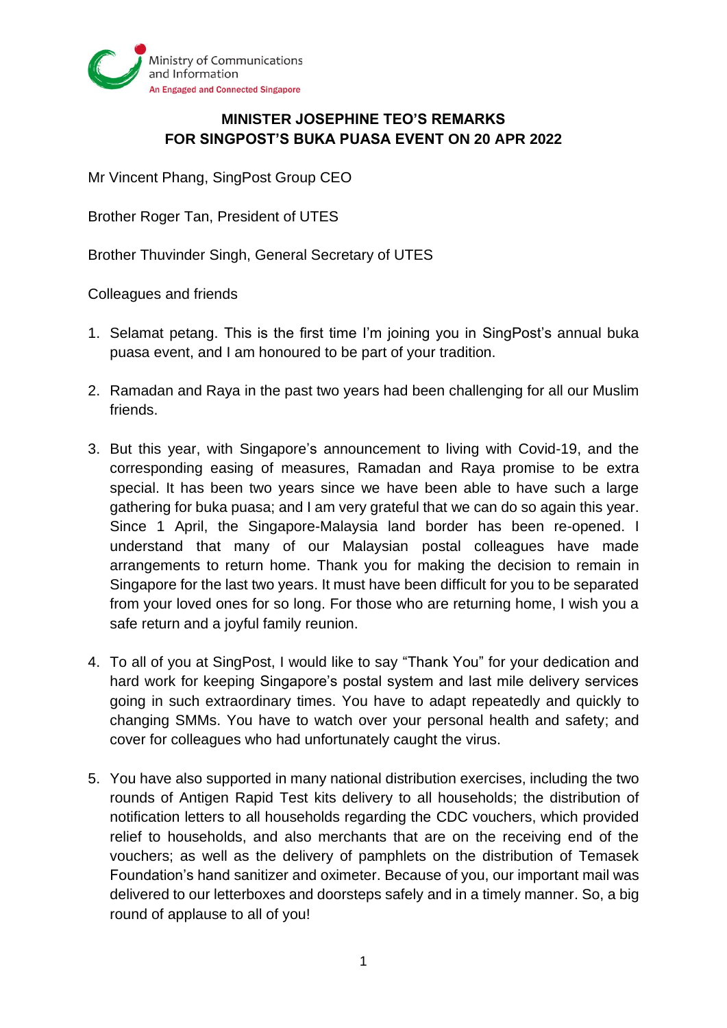

## **MINISTER JOSEPHINE TEO'S REMARKS FOR SINGPOST'S BUKA PUASA EVENT ON 20 APR 2022**

Mr Vincent Phang, SingPost Group CEO

Brother Roger Tan, President of UTES

Brother Thuvinder Singh, General Secretary of UTES

Colleagues and friends

- 1. Selamat petang. This is the first time I'm joining you in SingPost's annual buka puasa event, and I am honoured to be part of your tradition.
- 2. Ramadan and Raya in the past two years had been challenging for all our Muslim friends.
- 3. But this year, with Singapore's announcement to living with Covid-19, and the corresponding easing of measures, Ramadan and Raya promise to be extra special. It has been two years since we have been able to have such a large gathering for buka puasa; and I am very grateful that we can do so again this year. Since 1 April, the Singapore-Malaysia land border has been re-opened. I understand that many of our Malaysian postal colleagues have made arrangements to return home. Thank you for making the decision to remain in Singapore for the last two years. It must have been difficult for you to be separated from your loved ones for so long. For those who are returning home, I wish you a safe return and a joyful family reunion.
- 4. To all of you at SingPost, I would like to say "Thank You" for your dedication and hard work for keeping Singapore's postal system and last mile delivery services going in such extraordinary times. You have to adapt repeatedly and quickly to changing SMMs. You have to watch over your personal health and safety; and cover for colleagues who had unfortunately caught the virus.
- 5. You have also supported in many national distribution exercises, including the two rounds of Antigen Rapid Test kits delivery to all households; the distribution of notification letters to all households regarding the CDC vouchers, which provided relief to households, and also merchants that are on the receiving end of the vouchers; as well as the delivery of pamphlets on the distribution of Temasek Foundation's hand sanitizer and oximeter. Because of you, our important mail was delivered to our letterboxes and doorsteps safely and in a timely manner. So, a big round of applause to all of you!